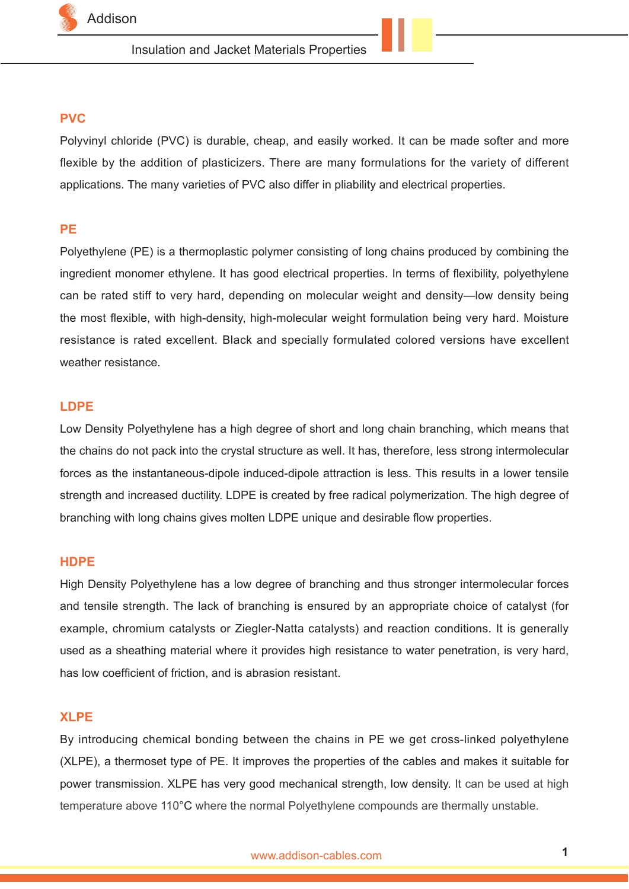

## **PVC**

Polyvinyl chloride (PVC) is durable, cheap, and easily worked. It can be made softer and more flexible by the addition of plasticizers. There are many formulations for the variety of different applications. The many varieties of PVC also differ in pliability and electrical properties.

## **PE**

Polyethylene (PE) is a thermoplastic polymer consisting of long chains produced by combining the ingredient monomer ethylene. It has good electrical properties. In terms of flexibility, polyethylene can be rated stiff to very hard, depending on molecular weight and density—low density being the most flexible, with high-density, high-molecular weight formulation being very hard. Moisture resistance is rated excellent. Black and specially formulated colored versions have excellent weather resistance.

## **LDPE**

Low Density Polyethylene has a high degree of short and long chain branching, which means that the chains do not pack into the crystal structure as well. It has, therefore, less strong intermolecular forces as the instantaneous-dipole induced-dipole attraction is less. This results in a lower tensile strength and increased ductility. LDPE is created by free radical polymerization. The high degree of branching with long chains gives molten LDPE unique and desirable flow properties.

### **HDPE**

High Density Polyethylene has a low degree of branching and thus stronger intermolecular forces and tensile strength. The lack of branching is ensured by an appropriate choice of catalyst (for example, chromium catalysts or Ziegler-Natta catalysts) and reaction conditions. It is generally used as a sheathing material where it provides high resistance to water penetration, is very hard, has low coefficient of friction, and is abrasion resistant.

### **XLPE**

By introducing chemical bonding between the chains in PE we get cross-linked polyethylene (XLPE), a thermoset type of PE. It improves the properties of the cables and makes it suitable for power transmission. XLPE has very good mechanical strength, low density. It can be used at high temperature above 110°C where the normal Polyethylene compounds are thermally unstable.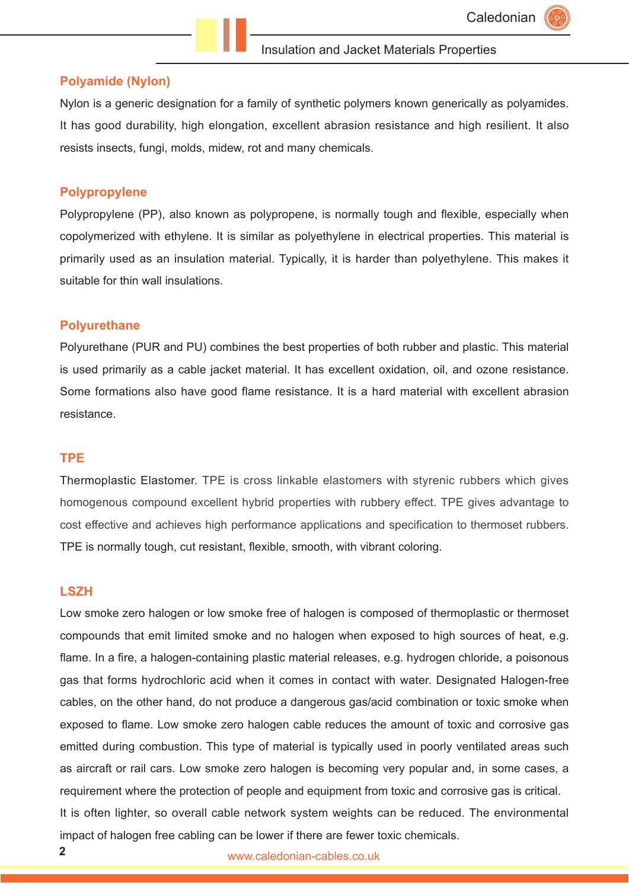#### **Polyamide (Nylon)**

Nylon is a generic designation for a family of synthetic polymers known generically as polyamides. It has good durability, high elongation, excellent abrasion resistance and high resilient. It also resists insects, fungi, molds, midew, rot and many chemicals.

#### **Polypropylene**

Polypropylene (PP), also known as polypropene, is normally tough and flexible, especially when copolymerized with ethylene. It is similar as polyethylene in electrical properties. This material is primarily used as an insulation material. Typically, it is harder than polyethylene. This makes it suitable for thin wall insulations.

#### **Polyurethane**

Polyurethane (PUR and PU) combines the best properties of both rubber and plastic. This material is used primarily as a cable jacket material. It has excellent oxidation, oil, and ozone resistance. Some formations also have good flame resistance. It is a hard material with excellent abrasion resistance.

### **TPE**

Thermoplastic Elastomer. TPE is cross linkable elastomers with styrenic rubbers which gives homogenous compound excellent hybrid properties with rubbery effect. TPE gives advantage to cost effective and achieves high performance applications and specification to thermoset rubbers. TPE is normally tough, cut resistant, flexible, smooth, with vibrant coloring.

### **LSZH**

Low smoke zero halogen or low smoke free of halogen is composed of thermoplastic or thermoset compounds that emit limited smoke and no halogen when exposed to high sources of heat, e.g. flame. In a fire, a halogen-containing plastic material releases, e.g. hydrogen chloride, a poisonous gas that forms hydrochloric acid when it comes in contact with water. Designated Halogen-free cables, on the other hand, do not produce a dangerous gas/acid combination or toxic smoke when exposed to flame. Low smoke zero halogen cable reduces the amount of toxic and corrosive gas emitted during combustion. This type of material is typically used in poorly ventilated areas such as aircraft or rail cars. Low smoke zero halogen is becoming very popular and, in some cases, a requirement where the protection of people and equipment from toxic and corrosive gas is critical. It is often lighter, so overall cable network system weights can be reduced. The environmental impact of halogen free cabling can be lower if there are fewer toxic chemicals.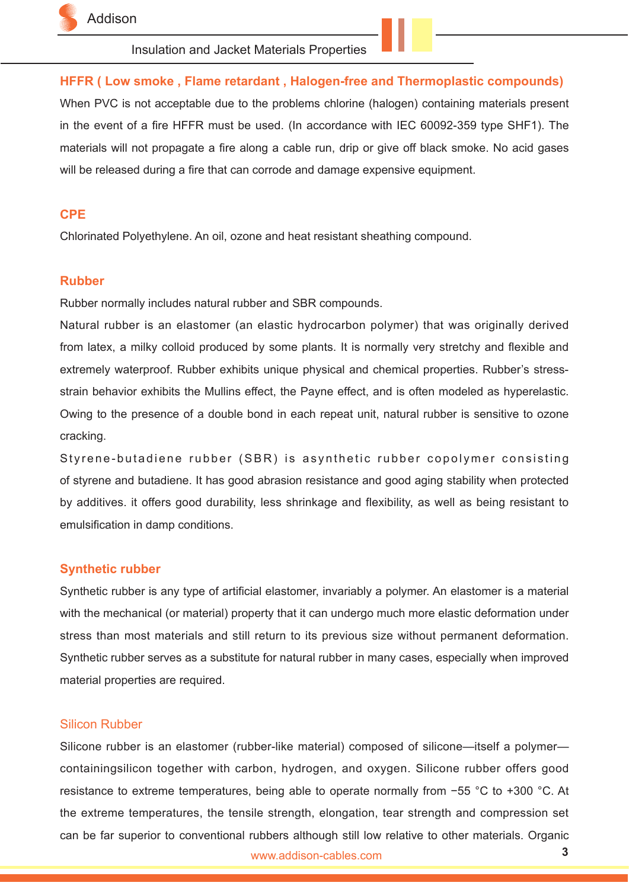

## **HFFR ( Low smoke , Flame retardant , Halogen-free and Thermoplastic compounds)**

When PVC is not acceptable due to the problems chlorine (halogen) containing materials present in the event of a fire HFFR must be used. (In accordance with IEC 60092-359 type SHF1). The materials will not propagate a fire along a cable run, drip or give off black smoke. No acid gases will be released during a fire that can corrode and damage expensive equipment.

### **CPE**

Chlorinated Polyethylene. An oil, ozone and heat resistant sheathing compound.

#### **Rubber**

Rubber normally includes natural rubber and SBR compounds.

Natural rubber is an elastomer (an elastic hydrocarbon polymer) that was originally derived from latex, a milky colloid produced by some plants. It is normally very stretchy and flexible and extremely waterproof. Rubber exhibits unique physical and chemical properties. Rubber's stressstrain behavior exhibits the Mullins effect, the Payne effect, and is often modeled as hyperelastic. Owing to the presence of a double bond in each repeat unit, natural rubber is sensitive to ozone cracking.

Styrene-butadiene rubber (SBR) is a synthetic rubber copolymer consisting of styrene and butadiene. It has good abrasion resistance and good aging stability when protected by additives. it offers good durability, less shrinkage and flexibility, as well as being resistant to emulsification in damp conditions.

### **Synthetic rubber**

Synthetic rubber is any type of artificial elastomer, invariably a polymer. An elastomer is a material with the mechanical (or material) property that it can undergo much more elastic deformation under stress than most materials and still return to its previous size without permanent deformation. Synthetic rubber serves as a substitute for natural rubber in many cases, especially when improved material properties are required.

## Silicon Rubber

Silicone rubber is an elastomer (rubber-like material) composed of silicone—itself a polymer containingsilicon together with carbon, hydrogen, and oxygen. Silicone rubber offers good resistance to extreme temperatures, being able to operate normally from −55 °C to +300 °C. At the extreme temperatures, the tensile strength, elongation, tear strength and compression set can be far superior to conventional rubbers although still low relative to other materials. Organic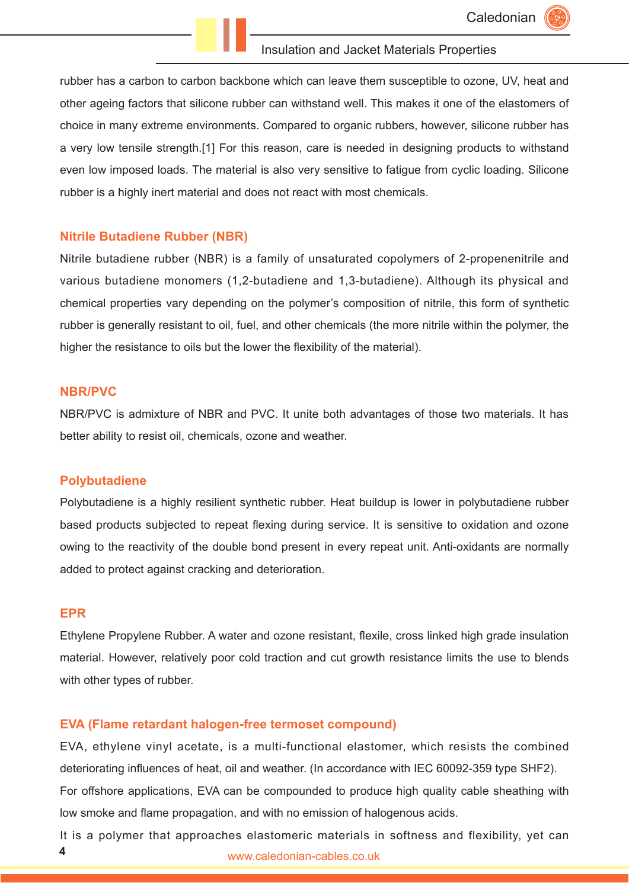rubber has a carbon to carbon backbone which can leave them susceptible to ozone, UV, heat and other ageing factors that silicone rubber can withstand well. This makes it one of the elastomers of choice in many extreme environments. Compared to organic rubbers, however, silicone rubber has a very low tensile strength.[1] For this reason, care is needed in designing products to withstand even low imposed loads. The material is also very sensitive to fatigue from cyclic loading. Silicone rubber is a highly inert material and does not react with most chemicals.

#### **Nitrile Butadiene Rubber (NBR)**

Nitrile butadiene rubber (NBR) is a family of unsaturated copolymers of 2-propenenitrile and various butadiene monomers (1,2-butadiene and 1,3-butadiene). Although its physical and chemical properties vary depending on the polymer's composition of nitrile, this form of synthetic rubber is generally resistant to oil, fuel, and other chemicals (the more nitrile within the polymer, the higher the resistance to oils but the lower the flexibility of the material).

#### **NBR/PVC**

NBR/PVC is admixture of NBR and PVC. It unite both advantages of those two materials. It has better ability to resist oil, chemicals, ozone and weather.

#### **Polybutadiene**

Polybutadiene is a highly resilient synthetic rubber. Heat buildup is lower in polybutadiene rubber based products subjected to repeat flexing during service. It is sensitive to oxidation and ozone owing to the reactivity of the double bond present in every repeat unit. Anti-oxidants are normally added to protect against cracking and deterioration.

#### **EPR**

Ethylene Propylene Rubber. A water and ozone resistant, flexile, cross linked high grade insulation material. However, relatively poor cold traction and cut growth resistance limits the use to blends with other types of rubber.

#### **EVA (Flame retardant halogen-free termoset compound)**

EVA, ethylene vinyl acetate, is a multi-functional elastomer, which resists the combined deteriorating influences of heat, oil and weather. (In accordance with IEC 60092-359 type SHF2). For offshore applications, EVA can be compounded to produce high quality cable sheathing with low smoke and flame propagation, and with no emission of halogenous acids.

www.caledonian-cables.co.uk **4** It is a polymer that approaches elastomeric materials in softness and flexibility, yet can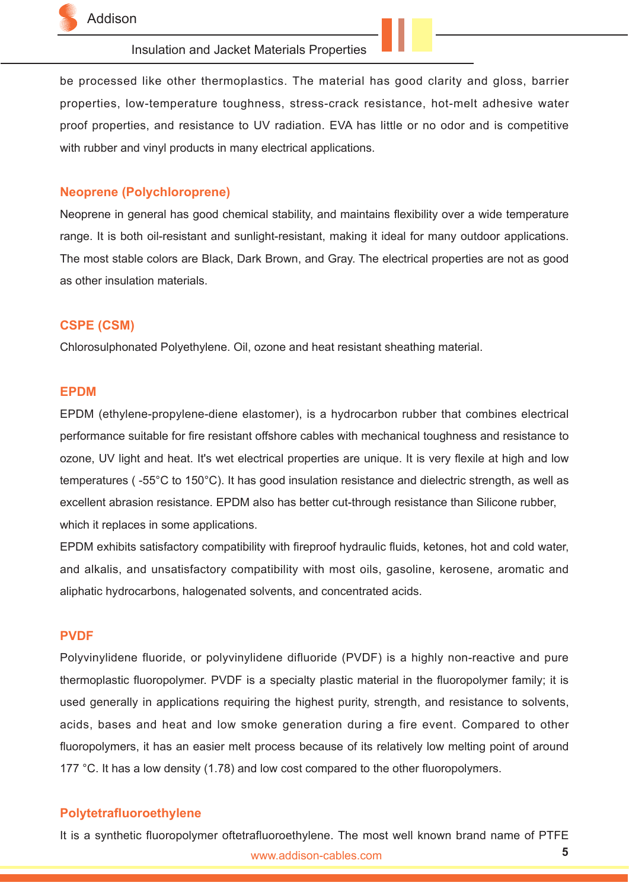

be processed like other thermoplastics. The material has good clarity and gloss, barrier properties, low-temperature toughness, stress-crack resistance, hot-melt adhesive water proof properties, and resistance to UV radiation. EVA has little or no odor and is competitive with rubber and vinyl products in many electrical applications.

#### **Neoprene (Polychloroprene)**

Neoprene in general has good chemical stability, and maintains flexibility over a wide temperature range. It is both oil-resistant and sunlight-resistant, making it ideal for many outdoor applications. The most stable colors are Black, Dark Brown, and Gray. The electrical properties are not as good as other insulation materials.

#### **CSPE (CSM)**

Chlorosulphonated Polyethylene. Oil, ozone and heat resistant sheathing material.

#### **EPDM**

EPDM (ethylene-propylene-diene elastomer), is a hydrocarbon rubber that combines electrical performance suitable for fire resistant offshore cables with mechanical toughness and resistance to ozone, UV light and heat. It's wet electrical properties are unique. It is very flexile at high and low temperatures ( -55°C to 150°C). It has good insulation resistance and dielectric strength, as well as excellent abrasion resistance. EPDM also has better cut-through resistance than Silicone rubber, which it replaces in some applications.

EPDM exhibits satisfactory compatibility with fireproof hydraulic fluids, ketones, hot and cold water, and alkalis, and unsatisfactory compatibility with most oils, gasoline, kerosene, aromatic and aliphatic hydrocarbons, halogenated solvents, and concentrated acids.

#### **PVDF**

Polyvinylidene fluoride, or polyvinylidene difluoride (PVDF) is a highly non-reactive and pure thermoplastic fluoropolymer. PVDF is a specialty plastic material in the fluoropolymer family; it is used generally in applications requiring the highest purity, strength, and resistance to solvents, acids, bases and heat and low smoke generation during a fire event. Compared to other fluoropolymers, it has an easier melt process because of its relatively low melting point of around 177 °C. It has a low density (1.78) and low cost compared to the other fluoropolymers.

### **Polytetrafluoroethylene**

www.addison-cables.com **5** It is a synthetic fluoropolymer oftetrafluoroethylene. The most well known brand name of PTFE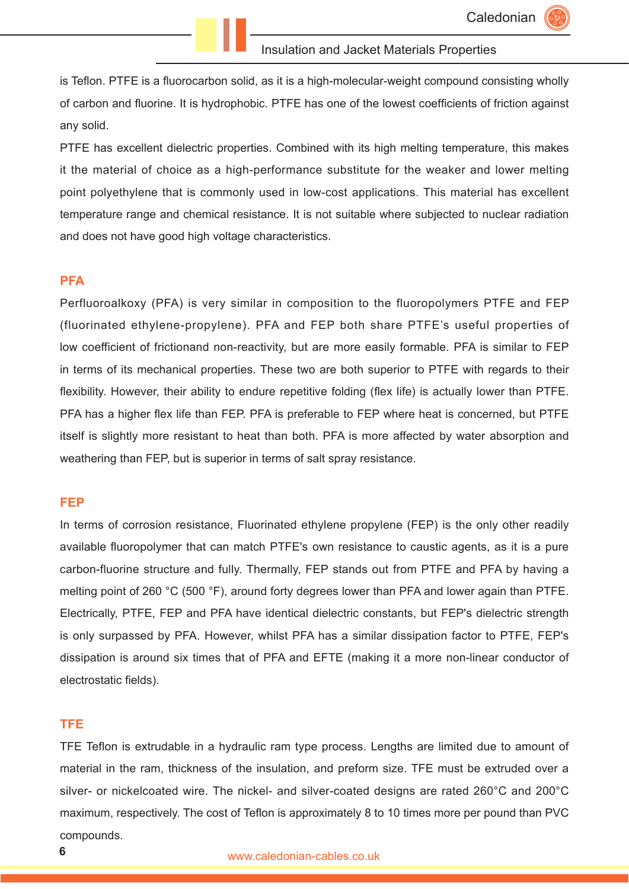is Teflon. PTFE is a fluorocarbon solid, as it is a high-molecular-weight compound consisting wholly of carbon and fluorine. It is hydrophobic. PTFE has one of the lowest coefficients of friction against any solid.

PTFE has excellent dielectric properties. Combined with its high melting temperature, this makes it the material of choice as a high-performance substitute for the weaker and lower melting point polyethylene that is commonly used in low-cost applications. This material has excellent temperature range and chemical resistance. It is not suitable where subjected to nuclear radiation and does not have good high voltage characteristics.

#### **PFA**

Perfluoroalkoxy (PFA) is very similar in composition to the fluoropolymers PTFE and FEP (fluorinated ethylene-propylene). PFA and FEP both share PTFE's useful properties of low coefficient of frictionand non-reactivity, but are more easily formable. PFA is similar to FEP in terms of its mechanical properties. These two are both superior to PTFE with regards to their flexibility. However, their ability to endure repetitive folding (flex life) is actually lower than PTFE. PFA has a higher flex life than FEP. PFA is preferable to FEP where heat is concerned, but PTFE itself is slightly more resistant to heat than both. PFA is more affected by water absorption and weathering than FEP, but is superior in terms of salt spray resistance.

#### **FEP**

In terms of corrosion resistance, Fluorinated ethylene propylene (FEP) is the only other readily available fluoropolymer that can match PTFE's own resistance to caustic agents, as it is a pure carbon-fluorine structure and fully. Thermally, FEP stands out from PTFE and PFA by having a melting point of 260 °C (500 °F), around forty degrees lower than PFA and lower again than PTFE. Electrically, PTFE, FEP and PFA have identical dielectric constants, but FEP's dielectric strength is only surpassed by PFA. However, whilst PFA has a similar dissipation factor to PTFE, FEP's dissipation is around six times that of PFA and EFTE (making it a more non-linear conductor of electrostatic fields).

### **TFE**

TFE Teflon is extrudable in a hydraulic ram type process. Lengths are limited due to amount of material in the ram, thickness of the insulation, and preform size. TFE must be extruded over a silver- or nickelcoated wire. The nickel- and silver-coated designs are rated 260°C and 200°C maximum, respectively. The cost of Teflon is approximately 8 to 10 times more per pound than PVC compounds.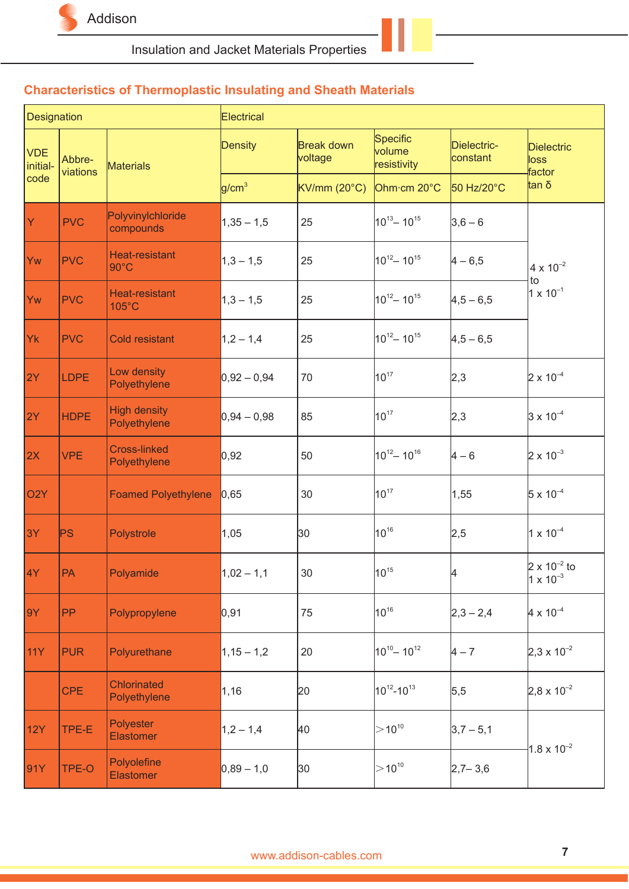

# **Characteristics of Thermoplastic Insulating and Sheath Materials**

| Designation            |                    |                                          | Electrical        |                                                 |                                   |                         |                                             |
|------------------------|--------------------|------------------------------------------|-------------------|-------------------------------------------------|-----------------------------------|-------------------------|---------------------------------------------|
| <b>VDE</b><br>initial- | Abbre-<br>viations | <b>Materials</b>                         | Density           | <b>Break down</b><br>voltage                    | Specific<br>volume<br>resistivity | Dielectric-<br>constant | <b>Dielectric</b><br>loss<br>factor         |
| code                   |                    |                                          | g/cm <sup>3</sup> | $\mathsf{KV/mm}\left(20^\circ\mathsf{C}\right)$ | Ohm·cm 20°C                       | 50 Hz/20°C              | tan δ                                       |
| Y                      | <b>PVC</b>         | Polyvinylchloride<br>compounds           | $1,35 - 1,5$      | 25                                              | $10^{13} - 10^{15}$               | $3,6 - 6$               |                                             |
| Yw                     | <b>PVC</b>         | Heat-resistant<br>$90^{\circ}$ C         | $1,3 - 1,5$       | 25                                              | $10^{12} - 10^{15}$               | $4 - 6,5$               | $4 \times 10^{-2}$<br>to                    |
| Yw                     | <b>PVC</b>         | <b>Heat-resistant</b><br>$105^{\circ}$ C | $1,3 - 1,5$       | 25                                              | $10^{12} - 10^{15}$               | $4,5 - 6,5$             | $1 \times 10^{-1}$                          |
| Yk                     | <b>PVC</b>         | <b>Cold resistant</b>                    | $1,2 - 1,4$       | 25                                              | $10^{12} - 10^{15}$               | $4,5 - 6,5$             |                                             |
| 2Y                     | <b>LDPE</b>        | Low density<br>Polyethylene              | $0,92 - 0,94$     | 70                                              | $10^{17}$                         | 2,3                     | $2 \times 10^{-4}$                          |
| 2Y                     | <b>HDPE</b>        | <b>High density</b><br>Polyethylene      | $0,94 - 0,98$     | 85                                              | $10^{17}$                         | 2,3                     | $3 \times 10^{-4}$                          |
| 2X                     | <b>VPE</b>         | <b>Cross-linked</b><br>Polyethylene      | 0,92              | 50                                              | $10^{12} - 10^{16}$               | $4 - 6$                 | $2 \times 10^{-3}$                          |
| O <sub>2</sub> Y       |                    | <b>Foamed Polyethylene</b>               | 0,65              | 30                                              | $10^{17}$                         | 1,55                    | $5 \times 10^{-4}$                          |
| 3Y                     | PS                 | Polystrole                               | 1,05              | 30                                              | $10^{16}$                         | 2,5                     | $1 \times 10^{-4}$                          |
| 4Y                     | PA                 | Polyamide                                | $1,02 - 1,1$      | 30                                              | $10^{15}$                         | 4                       | $2 \times 10^{-2}$ to<br>$1 \times 10^{-3}$ |
| 9Y                     | <b>PP</b>          | Polypropylene                            | 0, 91             | 75                                              | $10^{16}$                         | $2,3 - 2,4$             | $4 \times 10^{-4}$                          |
| <b>11Y</b>             | <b>PUR</b>         | Polyurethane                             | $1,15 - 1,2$      | 20                                              | $10^{10} - 10^{12}$               | $4 - 7$                 | $2,3 \times 10^{-2}$                        |
|                        | <b>CPE</b>         | <b>Chlorinated</b><br>Polyethylene       | 1,16              | 20                                              | $10^{12} - 10^{13}$               | 5,5                     | $2,8 \times 10^{-2}$                        |
| <b>12Y</b>             | TPE-E              | Polyester<br><b>Elastomer</b>            | $1,2 - 1,4$       | 40                                              | $>10^{10}$                        | $3,7 - 5,1$             | $1.8 \times 10^{-2}$                        |
| 91Y                    | TPE-O              | Polyolefine<br><b>Elastomer</b>          | $0,89 - 1,0$      | 30                                              | $>$ 10 <sup>10</sup>              | $2,7 - 3,6$             |                                             |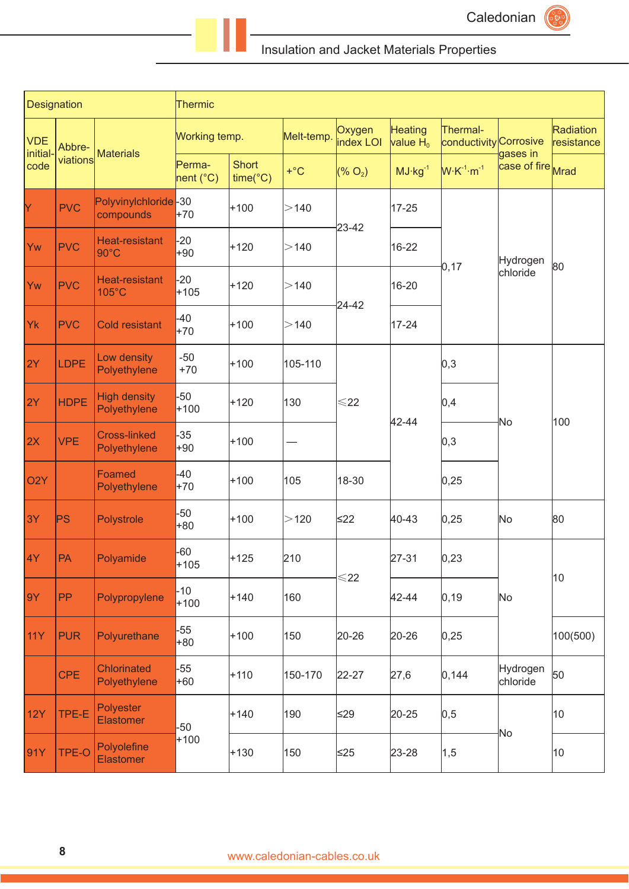Caledonian

# Insulation and Jacket Materials Properties

| Designation            |              |                                     | Thermic             |                                   |            |                     |                               |                                    |                      |                         |
|------------------------|--------------|-------------------------------------|---------------------|-----------------------------------|------------|---------------------|-------------------------------|------------------------------------|----------------------|-------------------------|
| <b>VDE</b><br>initial- | Abbre-       | <b>Materials</b>                    | Working temp.       |                                   | Melt-temp. | Oxygen<br>index LOI | <b>Heating</b><br>$value H_0$ | Thermal-<br>conductivity Corrosive | gases in             | Radiation<br>resistance |
| code                   | viations     |                                     | Perma-<br>nent (°C) | <b>Short</b><br>$time(^{\circ}C)$ | $+$ °C     | (% O <sub>2</sub> ) | $MJ·kg-1$                     | $W \cdot K^{-1} \cdot m^{-1}$      | case of fire Mrad    |                         |
| Y                      | <b>PVC</b>   | Polyvinylchloride-30<br>compounds   | $+70$               | $+100$                            | >140       |                     | 17-25                         |                                    |                      |                         |
| Yw                     | <b>PVC</b>   | Heat-resistant<br>$90^{\circ}$ C    | $-20$<br>+90        | $+120$                            | >140       | 23-42               | 16-22                         |                                    | Hydrogen             | 80                      |
| Yw                     | <b>PVC</b>   | Heat-resistant<br>105°C             | $-20$<br>$+105$     | $+120$                            | >140       |                     | 16-20                         | 0,17                               | chloride             |                         |
| Yk                     | <b>PVC</b>   | <b>Cold resistant</b>               | $-40$<br>$+70$      | $+100$                            | >140       | 24-42               | 17-24                         |                                    |                      |                         |
| 2Y                     | <b>LDPE</b>  | Low density<br>Polyethylene         | $-50$<br>$+70$      | $+100$                            | 105-110    |                     |                               | 0,3                                |                      |                         |
| 2Y                     | <b>HDPE</b>  | <b>High density</b><br>Polyethylene | $-50$<br>$+100$     | $+120$                            | 130        | $\leq$ 22           |                               | 0,4                                | No                   | 100                     |
| 2X                     | <b>VPE</b>   | <b>Cross-linked</b><br>Polyethylene | -35<br>+90          | $+100$                            |            |                     | 42-44                         | 0,3                                |                      |                         |
| O <sub>2</sub> Y       |              | Foamed<br>Polyethylene              | $-40$<br>$+70$      | $+100$                            | 105        | 18-30               |                               | 0,25                               |                      |                         |
| 3Y                     | PS           | Polystrole                          | $-50$<br>+80        | $+100$                            | >120       | $\leq$ 22           | 40-43                         | 0,25                               | No                   | 80                      |
| 4Y                     | PA           | Polyamide                           | $-60$<br>$+105$     | $+125$                            | 210        | $\leqslant$ 22      | 27-31                         | 0,23                               |                      | 10                      |
| 9Y                     | PP           | Polypropylene                       | $-10$<br>$+100$     | $+140$                            | 160        |                     | 42-44                         | 0, 19                              | No                   |                         |
| <b>11Y</b>             | <b>PUR</b>   | Polyurethane                        | $-55$<br>+80        | $+100$                            | 150        | 20-26               | $20 - 26$                     | 0,25                               |                      | 100(500)                |
|                        | <b>CPE</b>   | <b>Chlorinated</b><br>Polyethylene  | $-55$<br>$+60$      | $+110$                            | 150-170    | $22 - 27$           | 27,6                          | 0, 144                             | Hydrogen<br>chloride | 50                      |
| <b>12Y</b>             | TPE-E        | Polyester<br><b>Elastomer</b>       | $-50$               | $+140$                            | 190        | ≤29                 | 20-25                         | 0,5                                |                      | 10                      |
| 91Y                    | <b>TPE-O</b> | Polyolefine<br><b>Elastomer</b>     | $+100$              | $+130$                            | 150        | $≤25$               | 23-28                         | 1,5                                | No                   | 10                      |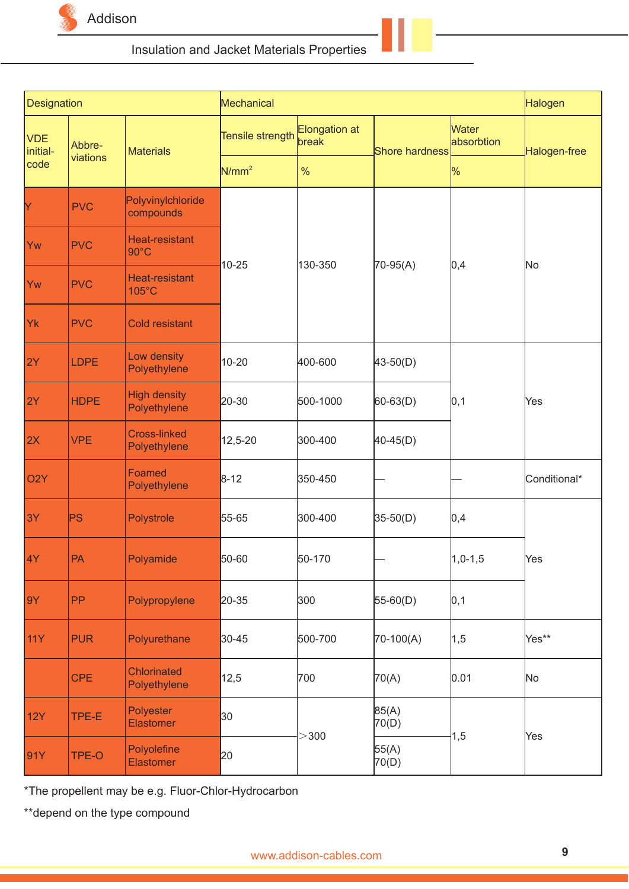

| Designation            |             |                                         | Mechanical        |                        |                |                     | Halogen      |  |
|------------------------|-------------|-----------------------------------------|-------------------|------------------------|----------------|---------------------|--------------|--|
| <b>VDE</b><br>initial- | Abbre-      | <b>Materials</b>                        | Tensile strength  | Elongation at<br>break | Shore hardness | Water<br>absorbtion | Halogen-free |  |
| code                   | viations    |                                         | N/mm <sup>2</sup> | $\%$                   |                | $\frac{9}{6}$       |              |  |
| Y                      | <b>PVC</b>  | Polyvinylchloride<br>compounds          |                   |                        |                |                     |              |  |
| Yw                     | <b>PVC</b>  | <b>Heat-resistant</b><br>$90^{\circ}$ C | $10 - 25$         | 130-350                |                |                     | No           |  |
| Yw                     | <b>PVC</b>  | Heat-resistant<br>105°C                 |                   |                        | 70-95(A)       | 0,4                 |              |  |
| Yk                     | <b>PVC</b>  | <b>Cold resistant</b>                   |                   |                        |                |                     |              |  |
| 2Y                     | <b>LDPE</b> | Low density<br>Polyethylene             | $10 - 20$         | 400-600                | $43 - 50(D)$   |                     |              |  |
| 2Y                     | <b>HDPE</b> | <b>High density</b><br>Polyethylene     | 20-30             | 500-1000               | $60 - 63(D)$   | 0, 1                | Yes          |  |
| 2X                     | <b>VPE</b>  | <b>Cross-linked</b><br>Polyethylene     | 12,5-20           | 300-400                | $40-45(D)$     |                     |              |  |
| O <sub>2</sub> Y       |             | Foamed<br>Polyethylene                  | $8 - 12$          | 350-450                |                |                     | Conditional* |  |
| 3Y                     | PS          | Polystrole                              | 55-65             | 300-400                | $35-50(D)$     | 0,4                 |              |  |
| 4Y                     | PA          | Polyamide                               | 50-60             | 50-170                 |                | $1,0-1,5$           | Yes          |  |
| 9Y                     | PP          | Polypropylene                           | 20-35             | 300                    | $55-60(D)$     | 0,1                 |              |  |
| <b>11Y</b>             | <b>PUR</b>  | Polyurethane                            | 30-45             | 500-700                | 70-100(A)      | 1, 5                | Yes**        |  |
|                        | <b>CPE</b>  | <b>Chlorinated</b><br>Polyethylene      | 12,5              | 700                    | 70(A)          | 0.01                | No           |  |
| <b>12Y</b>             | TPE-E       | Polyester<br>Elastomer                  | 30                |                        | 85(A)<br>70(D) |                     |              |  |
| 91Y                    | TPE-O       | Polyolefine<br>Elastomer                | 20                | $>$ 300                | 55(A)<br>70(D) | 1,5                 | Yes          |  |

\*The propellent may be e.g. Fluor-Chlor-Hydrocarbon

\*\*depend on the type compound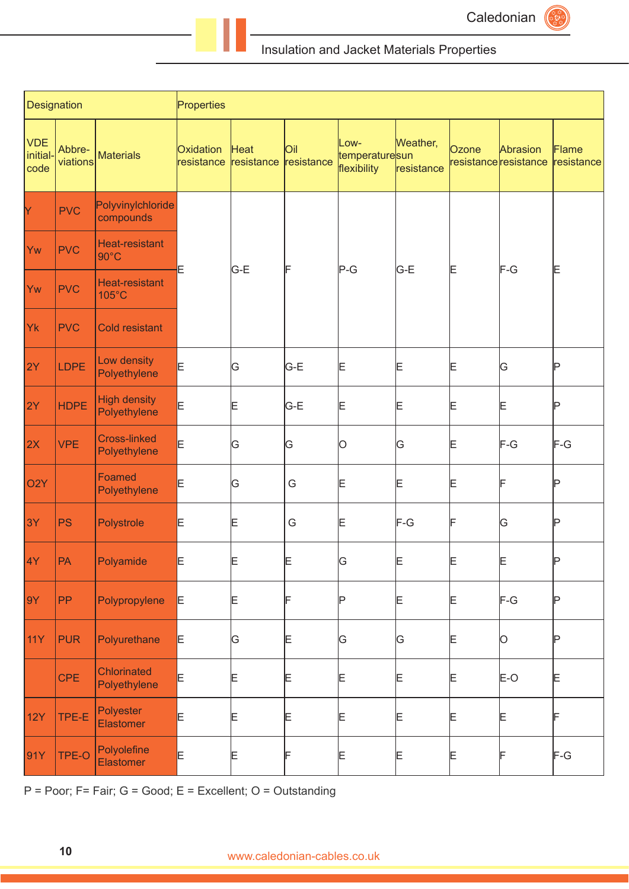

| Designation                           |                    |                                     | Properties              |                    |                          |                                       |                        |       |                                   |                     |  |  |  |  |
|---------------------------------------|--------------------|-------------------------------------|-------------------------|--------------------|--------------------------|---------------------------------------|------------------------|-------|-----------------------------------|---------------------|--|--|--|--|
| <b>VDE</b><br><i>initial-</i><br>code | Abbre-<br>viations | <b>Materials</b>                    | Oxidation<br>resistance | Heat<br>resistance | <b>Oil</b><br>resistance | Low-<br>temperaturesun<br>flexibility | Weather,<br>resistance | Ozone | Abrasion<br>resistance resistance | Flame<br>resistance |  |  |  |  |
| Y                                     | <b>PVC</b>         | Polyvinylchloride<br>compounds      |                         |                    |                          |                                       |                        |       |                                   |                     |  |  |  |  |
| Yw                                    | <b>PVC</b>         | Heat-resistant<br>$90^{\circ}$ C    |                         |                    |                          |                                       |                        |       |                                   |                     |  |  |  |  |
| Yw                                    | <b>PVC</b>         | Heat-resistant<br>105°C             | E                       | G-E                | F                        | $P-G$                                 | G-E                    | Έ     | F-G                               | E                   |  |  |  |  |
| Yk                                    | <b>PVC</b>         | Cold resistant                      |                         |                    |                          |                                       |                        |       |                                   |                     |  |  |  |  |
| 2Y                                    | <b>LDPE</b>        | Low density<br>Polyethylene         | E                       | G                  | lG-E                     | E                                     | Ε                      | Ε     | G                                 | P                   |  |  |  |  |
| 2Y                                    | <b>HDPE</b>        | <b>High density</b><br>Polyethylene | E                       | E                  | G-E                      | Ε                                     | Ε                      | Ε     | Ε                                 | P                   |  |  |  |  |
| 2X                                    | <b>VPE</b>         | <b>Cross-linked</b><br>Polyethylene | E                       | G                  | G                        | 0                                     | ΙG                     | Ε     | F-G                               | $F-G$               |  |  |  |  |
| O <sub>2</sub> Y                      |                    | Foamed<br>Polyethylene              | E                       | G                  | G                        | Ε                                     | Ε                      | E     | F                                 | P                   |  |  |  |  |
| 3Y                                    | <b>PS</b>          | Polystrole                          | E                       | Ε                  | G                        | E                                     | F-G                    | F     | G                                 | Þ                   |  |  |  |  |
| 4Y                                    | PA                 | Polyamide                           | E                       | E                  | E                        | ΙG                                    | E                      | Ε     | E                                 | D                   |  |  |  |  |
| 9Y                                    | PP                 | Polypropylene                       | E,                      | Ε                  | F                        | Þ                                     | E                      | Ε     | F-G                               | P                   |  |  |  |  |
| <b>11Y</b>                            | <b>PUR</b>         | Polyurethane                        | E.                      | G                  | Ε                        | βG                                    | ΙG                     | Ε     | O                                 | P                   |  |  |  |  |
|                                       | <b>CPE</b>         | Chlorinated<br>Polyethylene         | E                       | Ε                  | Ε                        | E                                     | Ε                      | Ε     | $E-O$                             | E                   |  |  |  |  |
| 12Y                                   | TPE-E              | Polyester<br>Elastomer              | E                       | Ε                  | Ε                        | E                                     | E                      | Ε     | E                                 | IF                  |  |  |  |  |
| 91Y                                   | TPE-O              | Polyolefine<br><b>Elastomer</b>     | E                       | E                  | F                        | Ε                                     | E                      | Ε     | F                                 | F-G                 |  |  |  |  |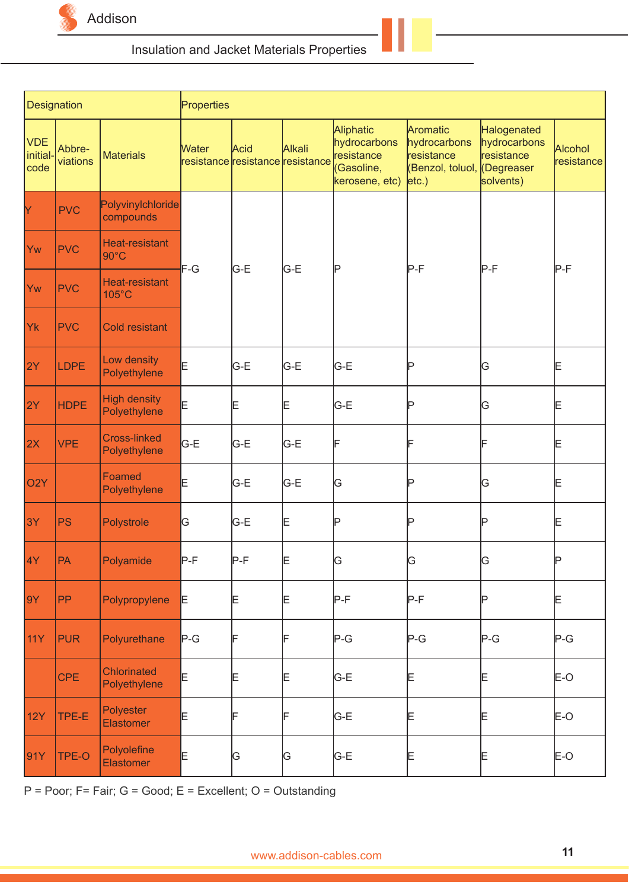

|                                | Designation        |                                         | Properties   |                                          |        |                                                                         |                                                                                           |                                                        |                       |  |  |  |  |
|--------------------------------|--------------------|-----------------------------------------|--------------|------------------------------------------|--------|-------------------------------------------------------------------------|-------------------------------------------------------------------------------------------|--------------------------------------------------------|-----------------------|--|--|--|--|
| <b>VDE</b><br>initial-<br>code | Abbre-<br>viations | <b>Materials</b>                        | <b>Water</b> | Acid<br>resistance resistance resistance | Alkali | Aliphatic<br>hydrocarbons<br>resistance<br>(Gasoline,<br>kerosene, etc) | Aromatic<br>hydrocarbons<br>resistance<br>(Benzol, toluol, <i>(Degreaser</i><br>$ etc.$ ) | Halogenated<br>hydrocarbons<br>resistance<br>solvents) | Alcohol<br>resistance |  |  |  |  |
| Y                              | <b>PVC</b>         | Polyvinylchloride<br>compounds          |              |                                          |        |                                                                         |                                                                                           |                                                        |                       |  |  |  |  |
| Yw                             | <b>PVC</b>         | <b>Heat-resistant</b><br>$90^{\circ}$ C | $F-G$        | G-E                                      |        | IP                                                                      | lP-F                                                                                      | $P-F$                                                  | $P-F$                 |  |  |  |  |
| Yw                             | <b>PVC</b>         | <b>Heat-resistant</b><br>105°C          |              |                                          | G-E    |                                                                         |                                                                                           |                                                        |                       |  |  |  |  |
| Yk                             | <b>PVC</b>         | <b>Cold resistant</b>                   |              |                                          |        |                                                                         |                                                                                           |                                                        |                       |  |  |  |  |
| 2Y                             | <b>LDPE</b>        | Low density<br>Polyethylene             | E            | G-E                                      | G-E    | G-E                                                                     | P                                                                                         | G                                                      | Ε                     |  |  |  |  |
| 2Y                             | <b>HDPE</b>        | <b>High density</b><br>Polyethylene     | E            | Ε                                        | E      | G-E                                                                     | Þ                                                                                         | G                                                      | Ε                     |  |  |  |  |
| 2X                             | <b>VPE</b>         | <b>Cross-linked</b><br>Polyethylene     | G-E          | G-E                                      | G-E    | F                                                                       | ⊫                                                                                         |                                                        | Ε                     |  |  |  |  |
| O <sub>2</sub> Y               |                    | Foamed<br>Polyethylene                  | E            | G-E                                      | G-E    | G                                                                       | Þ                                                                                         | G                                                      | Ε                     |  |  |  |  |
| 3Y                             | <b>PS</b>          | Polystrole                              | G            | G-E                                      | Ε      | Þ                                                                       | Þ                                                                                         | Þ                                                      | Ε                     |  |  |  |  |
| 4Y                             | PA                 | Polyamide                               | $P-F$        | P-F                                      | ⊫      | IJ                                                                      | ĮĠ                                                                                        | G                                                      |                       |  |  |  |  |
| 9Y                             | PP                 | Polypropylene                           | E            | Ε                                        | E      | $P-F$                                                                   | $P-F$                                                                                     | P                                                      | E                     |  |  |  |  |
| <b>11Y</b>                     | <b>PUR</b>         | Polyurethane                            | $P-G$        | IF                                       |        | $P-G$                                                                   | $P-G$                                                                                     | $P-G$                                                  | $P-G$                 |  |  |  |  |
|                                | <b>CPE</b>         | <b>Chlorinated</b><br>Polyethylene      | E            | Ε                                        | E      | G-E                                                                     | E                                                                                         | E                                                      | E-O                   |  |  |  |  |
| <b>12Y</b>                     | TPE-E              | Polyester<br><b>Elastomer</b>           | E            | ⊩                                        |        | G-E                                                                     | Ε                                                                                         | E                                                      | $E-O$                 |  |  |  |  |
| 91Y                            | TPE-O              | Polyolefine<br><b>Elastomer</b>         | E            | G                                        | G      | G-E                                                                     | Ε                                                                                         | Ε                                                      | $E-O$                 |  |  |  |  |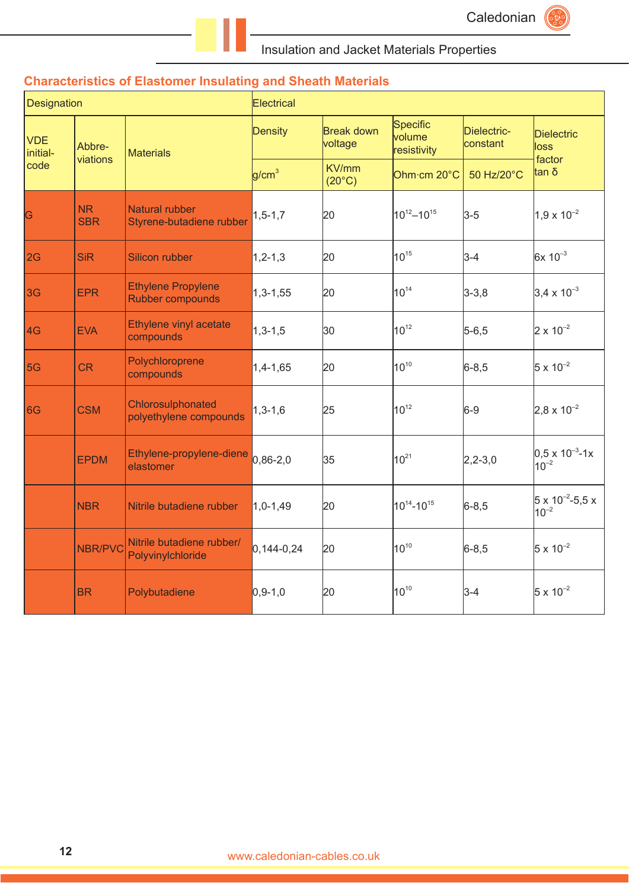# **Characteristics of Elastomer Insulating and Sheath Materials**

| <b>Designation</b>     |                         |                                                | Electrical        |                          |                                   |                         |                                              |  |  |
|------------------------|-------------------------|------------------------------------------------|-------------------|--------------------------|-----------------------------------|-------------------------|----------------------------------------------|--|--|
| <b>VDE</b><br>initial- | Abbre-<br>viations      | <b>Materials</b>                               | Density           | Break down<br>voltage    | Specific<br>volume<br>resistivity | Dielectric-<br>constant | <b>Dielectric</b><br>loss<br>factor          |  |  |
| code                   |                         |                                                | g/cm <sup>3</sup> | KV/mm<br>$(20^{\circ}C)$ | Ohm·cm 20°C                       | 50 Hz/20°C              | tan δ                                        |  |  |
| G                      | <b>NR</b><br><b>SBR</b> | Natural rubber<br>Styrene-butadiene rubber     | $1, 5 - 1, 7$     | 20                       | $10^{12} - 10^{15}$               | $3-5$                   | $1,9 \times 10^{-2}$                         |  |  |
| 2G                     | <b>SiR</b>              | Silicon rubber                                 | $1, 2 - 1, 3$     | 20                       | $10^{15}$                         | $3-4$                   | $6x 10^{-3}$                                 |  |  |
| 3G                     | <b>EPR</b>              | <b>Ethylene Propylene</b><br>Rubber compounds  | $1,3 - 1,55$      | 20                       | $10^{14}$                         | $3 - 3, 8$              | $3,4 \times 10^{-3}$                         |  |  |
| 4G                     | <b>EVA</b>              | Ethylene vinyl acetate<br>compounds            | $1,3 - 1,5$       | 30                       | $10^{12}$                         | $5 - 6, 5$              | $2 \times 10^{-2}$                           |  |  |
| 5G                     | <b>CR</b>               | Polychloroprene<br>compounds                   | $1,4 - 1,65$      | 20                       | $10^{10}$                         | $6 - 8,5$               | $5 \times 10^{-2}$                           |  |  |
| 6G                     | <b>CSM</b>              | Chlorosulphonated<br>polyethylene compounds    | $1,3-1,6$         | 25                       | $10^{12}$                         | $6-9$                   | $2,8 \times 10^{-2}$                         |  |  |
|                        | <b>EPDM</b>             | Ethylene-propylene-diene<br>elastomer          | $0,86-2,0$        | 35                       | $10^{21}$                         | $2,2-3,0$               | $ 0,5 \times 10^{-3}$ -1x<br>$10^{-2}$       |  |  |
|                        | <b>NBR</b>              | Nitrile butadiene rubber                       | $1,0-1,49$        | 20                       | $10^{14} - 10^{15}$               | $6 - 8, 5$              | $5 \times 10^{-2} - 5.5 \times$<br>$10^{-2}$ |  |  |
|                        | NBR/PVC                 | Nitrile butadiene rubber/<br>Polyvinylchloride | $0,144-0,24$      | 20                       | $10^{10}$                         | $6 - 8,5$               | $5 \times 10^{-2}$                           |  |  |
|                        | <b>BR</b>               | Polybutadiene                                  | $0,9-1,0$         | 20                       | $10^{10}$                         | $3-4$                   | $5 \times 10^{-2}$                           |  |  |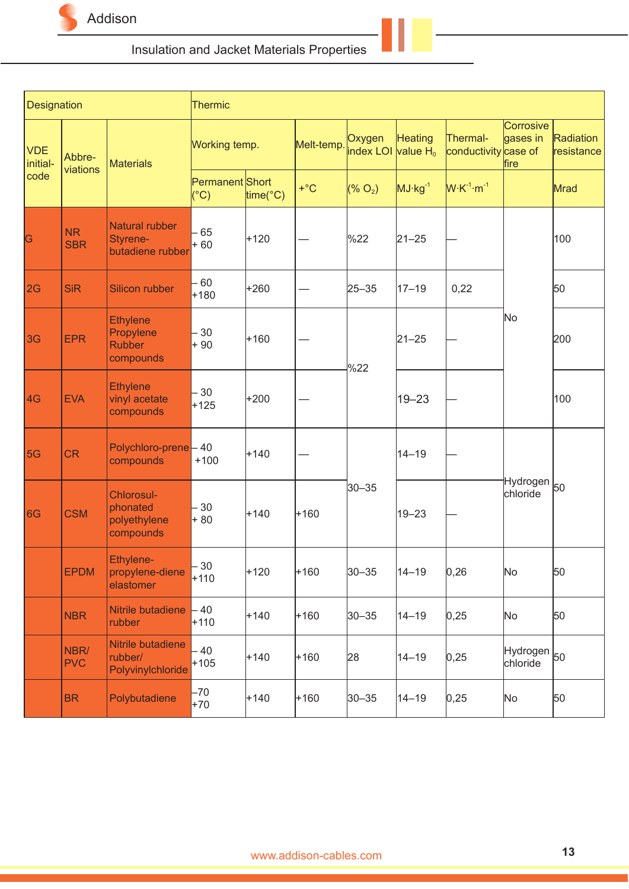

| Designation            |                         |                                                            | <b>Thermic</b>                   |                        |            |                                          |             |                                  |                                    |                         |
|------------------------|-------------------------|------------------------------------------------------------|----------------------------------|------------------------|------------|------------------------------------------|-------------|----------------------------------|------------------------------------|-------------------------|
| <b>VDE</b><br>initial- | Abbre-<br>viations      | <b>Materials</b>                                           | Working temp.                    |                        | Melt-temp. | Oxygen<br>index LOI value H <sub>0</sub> | Heating     | Thermal-<br>conductivity case of | Corrosive<br>gases in<br>fire      | Radiation<br>resistance |
| code                   |                         |                                                            | Permanent Short<br>$(^{\circ}C)$ | $time$ <sup>°</sup> C) | $+$ °C     | (% O <sub>2</sub> )                      | $MJ·kg-1$   | $W \cdot K^{-1} \cdot m^{-1}$    |                                    | Mrad                    |
| G                      | <b>NR</b><br><b>SBR</b> | Natural rubber<br>Styrene-<br>butadiene rubber             | 65<br>$+60$                      | $+120$                 |            | $\frac{8}{2}$                            | $21 - 25$   |                                  |                                    | 100                     |
| 2G                     | <b>SiR</b>              | Silicon rubber                                             | - 60<br>$+180$                   | +260                   |            | 25-35                                    | $17 - 19$   | 0,22                             |                                    | 50                      |
| 3G                     | <b>EPR</b>              | <b>Ethylene</b><br>Propylene<br><b>Rubber</b><br>compounds | 30<br>$+90$                      | $+160$                 |            | %22                                      | $ 21 - 25 $ |                                  | No                                 | 200                     |
| 4G                     | <b>EVA</b>              | <b>Ethylene</b><br>vinyl acetate<br>compounds              | 30<br>$+125$                     | +200                   |            |                                          | 19–23       |                                  |                                    | 100                     |
| 5G                     | <b>CR</b>               | Polychloro-prene - 40<br>compounds                         | $+100$                           | $+140$                 |            |                                          | 14–19       |                                  |                                    |                         |
| 6G                     | <b>CSM</b>              | Chlorosul-<br>phonated<br>polyethylene<br>compounds        | 30<br>$+80$                      | $+140$                 | $+160$     | $30 - 35$                                | 19–23       |                                  | Hydrogen <sub>50</sub><br>chloride |                         |
|                        | <b>EPDM</b>             | Ethylene-<br>propylene-diene<br>elastomer                  | $-30$<br>$+110$                  | $+120$                 | $+160$     | $30 - 35$                                | $ 14 - 19$  | 0,26                             | No                                 | 50                      |
|                        | <b>NBR</b>              | Nitrile butadiene<br>rubber                                | - 40<br>$+110$                   | $+140$                 | $+160$     | $ 30 - 35 $                              | 14-19       | 0,25                             | No                                 | 50                      |
|                        | NBR/<br><b>PVC</b>      | Nitrile butadiene<br>rubber/<br>Polyvinylchloride          | $-40$<br>$+105$                  | $+140$                 | $+160$     | 28                                       | 14–19       | 0,25                             | Hydrogen 50<br>chloride            |                         |
|                        | <b>BR</b>               | Polybutadiene                                              | $-70$<br>$+70$                   | $+140$                 | $+160$     | $ 30 - 35 $                              | 14-19       | 0,25                             | No                                 | 50                      |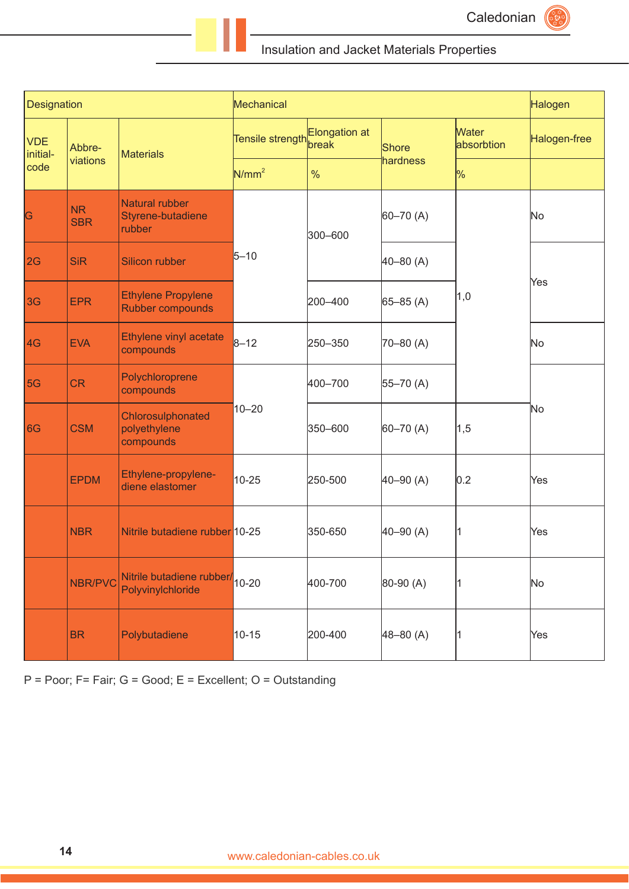

| <b>Designation</b>     |                         |                                                                 | Mechanical                                  |         |               |                            | Halogen      |  |
|------------------------|-------------------------|-----------------------------------------------------------------|---------------------------------------------|---------|---------------|----------------------------|--------------|--|
| <b>VDE</b><br>initial- | Abbre-                  | <b>Materials</b>                                                | Tensile strength <mark>Elongation at</mark> |         | Shore         | <b>Water</b><br>absorbtion | Halogen-free |  |
| code                   | viations                |                                                                 | N/mm <sup>2</sup>                           | %       | hardness      | $\frac{9}{6}$              |              |  |
| G                      | <b>NR</b><br><b>SBR</b> | Natural rubber<br>Styrene-butadiene<br>rubber                   |                                             | 300-600 | $60 - 70$ (A) |                            | No           |  |
| 2G                     | <b>SiR</b>              | Silicon rubber                                                  | $5 - 10$                                    |         | $40 - 80$ (A) |                            |              |  |
| 3G                     | <b>EPR</b>              | <b>Ethylene Propylene</b><br>Rubber compounds                   |                                             | 200-400 | $65 - 85(A)$  | 1,0                        | Yes          |  |
| 4G                     | <b>EVA</b>              | Ethylene vinyl acetate<br>compounds                             | $8 - 12$                                    | 250-350 | $70 - 80$ (A) |                            | <b>No</b>    |  |
| 5G                     | <b>CR</b>               | Polychloroprene<br>compounds                                    |                                             | 400-700 | $55 - 70$ (A) |                            |              |  |
| 6G                     | <b>CSM</b>              | Chlorosulphonated<br>polyethylene<br>compounds                  | $10 - 20$                                   | 350-600 | $60 - 70$ (A) | 1,5                        | No           |  |
|                        | <b>EPDM</b>             | Ethylene-propylene-<br>diene elastomer                          | $10 - 25$                                   | 250-500 | $40 - 90$ (A) | 0.2                        | Yes          |  |
|                        | <b>NBR</b>              | Nitrile butadiene rubber 10-25                                  |                                             | 350-650 | $40 - 90$ (A) | 11                         | Yes          |  |
|                        | <b>NBR/PVC</b>          | Nitrile butadiene rubber/ <sub>10-20</sub><br>Polyvinylchloride |                                             | 400-700 | 80-90 (A)     |                            | No           |  |
|                        | <b>BR</b>               | Polybutadiene                                                   | $10 - 15$                                   | 200-400 | $48 - 80$ (A) | 11                         | Yes          |  |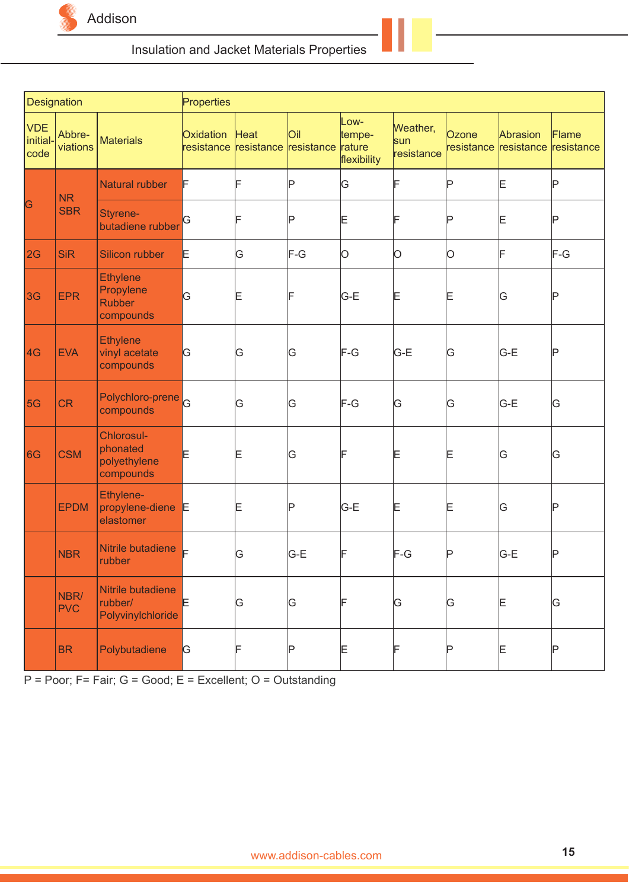

| Designation                    |                    |                                                            | Properties              |                               |     |                                         |                               |                     |                        |                     |
|--------------------------------|--------------------|------------------------------------------------------------|-------------------------|-------------------------------|-----|-----------------------------------------|-------------------------------|---------------------|------------------------|---------------------|
| <b>VDE</b><br>initial-<br>code | Abbre-<br>viations | <b>Materials</b>                                           | Oxidation<br>resistance | Heat<br>resistance resistance | Oil | Low-<br>tempe-<br>rature<br>flexibility | Weather,<br>sun<br>resistance | Ozone<br>resistance | Abrasion<br>resistance | Flame<br>resistance |
|                                | <b>NR</b>          | Natural rubber                                             | F                       | F                             | Þ   | G                                       | F                             | Þ                   | E                      | Þ                   |
| G                              | <b>SBR</b>         | Styrene-<br>butadiene rubber                               | βG                      | F                             | Þ   | Ε                                       |                               | ΙP                  | E                      | P                   |
| 2G                             | <b>SiR</b>         | <b>Silicon rubber</b>                                      | E                       | G                             | F-G | O                                       | 0                             | O                   | F                      | $F-G$               |
| 3G                             | <b>EPR</b>         | <b>Ethylene</b><br>Propylene<br><b>Rubber</b><br>compounds | G                       | E                             | IF  | G-E                                     | Ε                             | Ε                   | G                      | IP                  |
| 4G                             | <b>EVA</b>         | <b>Ethylene</b><br>vinyl acetate<br>compounds              | G                       | G                             | G   | F-G                                     | G-E                           | ΙG                  | G-E                    | IP                  |
| 5G                             | <b>CR</b>          | Polychloro-prene <sup>c</sup><br>compounds                 |                         | G                             | G   | F-G                                     | ΙG                            | G                   | G-E                    | ΙG                  |
| 6G                             | <b>CSM</b>         | Chlorosul-<br>phonated<br>polyethylene<br>compounds        | E                       | E                             | ΙG  | F                                       | Ε                             | Ε                   | G                      | ΙG                  |
|                                | <b>EPDM</b>        | Ethylene-<br>propylene-diene<br>elastomer                  | E                       | Ε                             | P   | G-E                                     | Ε                             | Ε                   | G                      | IP                  |
|                                | <b>NBR</b>         | Nitrile butadiene<br>rubber                                | ⊫                       | G                             | G-E | F                                       | $F-G$                         | ΙP                  | G-E                    | IP                  |
|                                | NBR/<br><b>PVC</b> | Nitrile butadiene<br>rubber/<br>Polyvinylchloride          | E                       | G                             | G   | F                                       | G                             | G                   | E                      | G                   |
|                                | <b>BR</b>          | Polybutadiene                                              | G.                      | F                             | Þ   | Ε                                       |                               | ℙ                   | E                      | IP                  |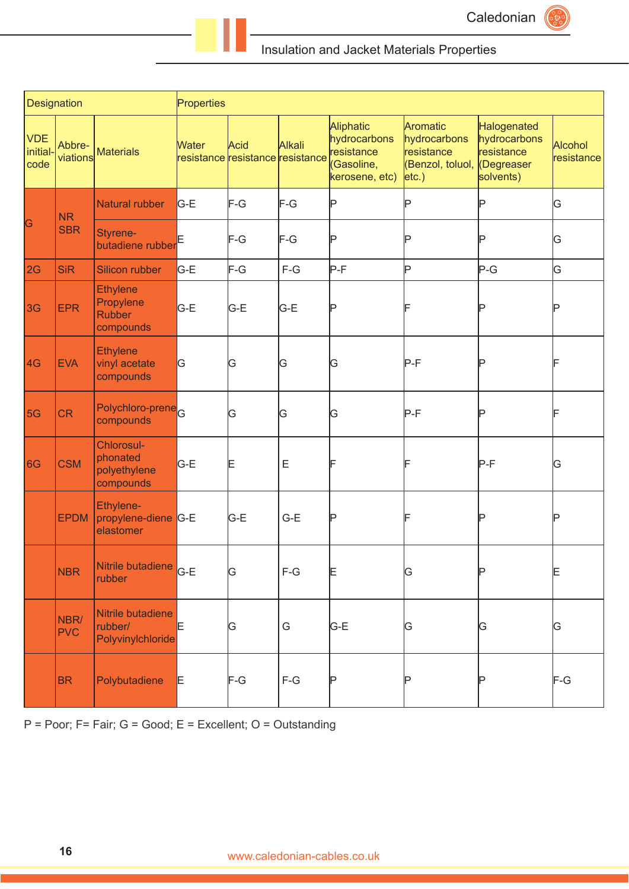

| Designation                    |                    |                                                     | Properties |                                          |             |                                                                         |                                                                         |                                                                     |                              |
|--------------------------------|--------------------|-----------------------------------------------------|------------|------------------------------------------|-------------|-------------------------------------------------------------------------|-------------------------------------------------------------------------|---------------------------------------------------------------------|------------------------------|
| <b>VDE</b><br>initial-<br>code | Abbre-<br>viations | <b>Materials</b>                                    | Water      | Acid<br>resistance resistance resistance | Alkali      | Aliphatic<br>hydrocarbons<br>resistance<br>(Gasoline,<br>kerosene, etc) | Aromatic<br>hydrocarbons<br>resistance<br>(Benzol, toluol,<br>$ etc.$ ) | Halogenated<br>hydrocarbons<br>resistance<br>Degreaser<br>solvents) | <b>Alcohol</b><br>resistance |
|                                | N <sub>R</sub>     | Natural rubber                                      | G-E        | F-G                                      | $F-G$       | IP                                                                      | P                                                                       | IP                                                                  | G                            |
| G                              | <b>SBR</b>         | Styrene-<br>butadiene rubber                        |            | F-G                                      | F-G         | Þ                                                                       | Þ                                                                       | IP                                                                  | G                            |
| 2G                             | <b>SiR</b>         | Silicon rubber                                      | G-E        | F-G                                      | $F-G$       | P-F                                                                     | Þ                                                                       | $P-G$                                                               | G                            |
| 3 <sub>G</sub>                 | <b>EPR</b>         | Ethylene<br>Propylene<br><b>Rubber</b><br>compounds | G-E        | G-E                                      | G-E         | Þ                                                                       |                                                                         | Þ                                                                   | Þ                            |
| 4G                             | <b>EVA</b>         | <b>Ethylene</b><br>vinyl acetate<br>compounds       | G          | G                                        | G           | ΙG                                                                      | $P-F$                                                                   | Þ                                                                   | F                            |
| 5G                             | <b>CR</b>          | Polychloro-prene <sub>G</sub><br>compounds          |            | G                                        | G           | ΙG                                                                      | $P-F$                                                                   | P                                                                   | F                            |
| 6G                             | <b>CSM</b>         | Chlorosul-<br>phonated<br>polyethylene<br>compounds | G-E        | Ε                                        | $\mathsf E$ | ⊩                                                                       |                                                                         | $P-F$                                                               | G                            |
|                                | <b>EPDM</b>        | Ethylene-<br>propylene-diene G-E<br>elastomer       |            | G-E                                      | $G-E$       | Þ                                                                       |                                                                         | Þ                                                                   | P                            |
|                                | <b>NBR</b>         | Nitrile butadiene G-E<br>rubber                     |            | G                                        | $F-G$       | Ε                                                                       | G                                                                       | Þ                                                                   | Ε                            |
|                                | NBR/<br><b>PVC</b> | Nitrile butadiene<br>rubber/<br>Polyvinylchloride   | E          | ΙG                                       | G           | G-E                                                                     | G                                                                       | ΙG                                                                  | G                            |
|                                | <b>BR</b>          | Polybutadiene                                       | E.         | F-G                                      | $F-G$       | Þ                                                                       | Þ                                                                       | P                                                                   | F-G                          |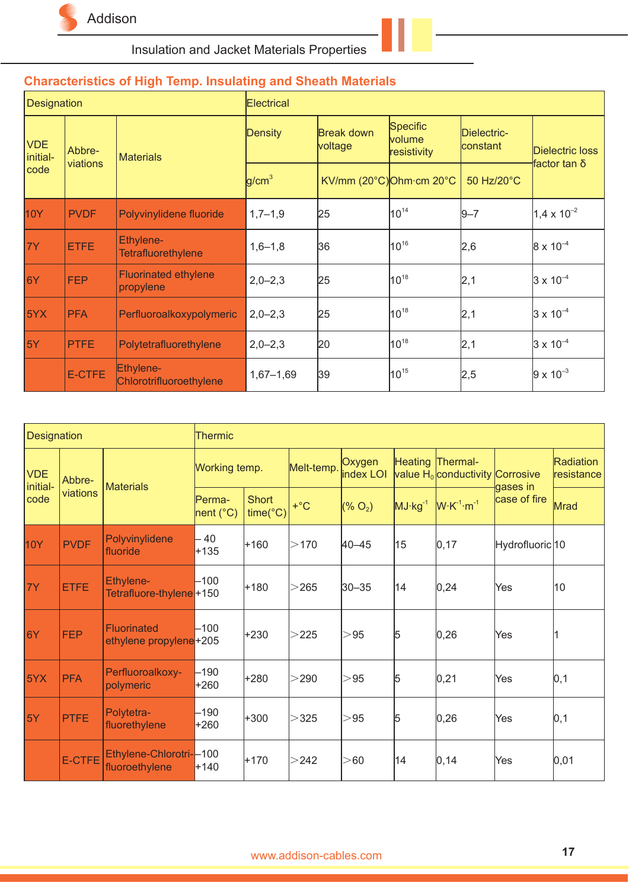

| <b>Designation</b>     |             |                                          | <b>Electrical</b> |                       |                                            |                                |                      |  |  |  |
|------------------------|-------------|------------------------------------------|-------------------|-----------------------|--------------------------------------------|--------------------------------|----------------------|--|--|--|
| <b>VDE</b><br>initial- | Abbre-      | <b>Materials</b>                         | Density           | Break down<br>voltage | Specific<br>volume<br>resistivity          | Dielectric-<br><b>constant</b> | Dielectric loss      |  |  |  |
| code                   | viations    |                                          | g/cm <sup>3</sup> |                       | KV/mm $(20^{\circ}C)$ Ohm·cm $20^{\circ}C$ | 50 Hz/20°C                     | factor tan δ         |  |  |  |
| 10Y                    | <b>PVDF</b> | Polyvinylidene fluoride                  | $1,7-1,9$         | 25                    | $10^{14}$                                  | $9 - 7$                        | $1,4 \times 10^{-2}$ |  |  |  |
| 7Y                     | <b>ETFE</b> | Ethylene-<br>Tetrafluorethylene          | $1,6 - 1,8$       | 36                    | $10^{16}$                                  | 2,6                            | $8 \times 10^{-4}$   |  |  |  |
| 6Y                     | <b>FEP</b>  | <b>Fluorinated ethylene</b><br>propylene | $2,0-2,3$         | 25                    | $10^{18}$                                  | 2,1                            | $3 \times 10^{-4}$   |  |  |  |
| 5YX                    | <b>PFA</b>  | Perfluoroalkoxypolymeric                 | $2,0-2,3$         | 25                    | $10^{18}$                                  | 2,1                            | $3 \times 10^{-4}$   |  |  |  |
| 5Y                     | <b>PTFE</b> | Polytetrafluorethylene                   | $2,0-2,3$         | 20                    | $10^{18}$                                  | 2,1                            | $3 \times 10^{-4}$   |  |  |  |
|                        | E-CTFE      | Ethylene-<br>Chlorotrifluoroethylene     | $1,67 - 1,69$     | 39                    | $10^{15}$                                  | 2,5                            | $ 9 \times 10^{-3} $ |  |  |  |

# **Characteristics of High Temp. Insulating and Sheath Materials**

| <b>Designation</b>     |               |                                              | Thermic              |                                   |            |                     |           |                                                       |                            |                         |  |  |  |
|------------------------|---------------|----------------------------------------------|----------------------|-----------------------------------|------------|---------------------|-----------|-------------------------------------------------------|----------------------------|-------------------------|--|--|--|
| <b>VDE</b><br>initial- | Abbre-        | <b>Materials</b>                             | Working temp.        |                                   | Melt-temp. | Oxygen<br>index LOI |           | Heating Thermal-<br>value H <sub>0</sub> conductivity | Corrosive<br>gases in      | Radiation<br>resistance |  |  |  |
| code                   | viations      |                                              | lPerma-<br>nent (°C) | <b>Short</b><br>$time(^{\circ}C)$ | $+$ °C     | $(\% O_{2})$        | $MJ·kg-1$ | $W K^{-1} \cdot m^{-1}$                               | case of fire               | Mrad                    |  |  |  |
| 10Y                    | <b>PVDF</b>   | Polyvinylidene<br>fluoride                   | 40<br>$+135$         | +160                              | >170       | $ 40 - 45 $         | 15        | 0, 17                                                 | Hydrofluoric <sup>10</sup> |                         |  |  |  |
| 7Y                     | <b>ETFE</b>   | Ethylene-<br>Tetrafluore-thylene+150         | –100                 | +180                              | >265       | $ 30 - 35 $         | 14        | 0, 24                                                 | Yes                        | 10                      |  |  |  |
| 6Y                     | <b>FEP</b>    | <b>Fluorinated</b><br>ethylene propylene+205 | -100                 | +230                              | >225       | > 95                | 5         | 0,26                                                  | Yes                        |                         |  |  |  |
| 5YX                    | <b>PFA</b>    | Perfluoroalkoxy-<br>polymeric                | $-190$<br>$+260$     | +280                              | $>$ 290    | > 95                | 5         | 0,21                                                  | Yes                        | 0, 1                    |  |  |  |
| 5Y                     | <b>PTFE</b>   | Polytetra-<br>fluorethylene                  | -190<br>+260         | +300                              | >325       | > 95                | 5         | 0,26                                                  | Yes                        | 0,1                     |  |  |  |
|                        | <b>E-CTFE</b> | Ethylene-Chlorotri--100<br>fluoroethylene    | $+140$               | +170                              | >242       | > 60                | 14        | 0, 14                                                 | Yes                        | 0,01                    |  |  |  |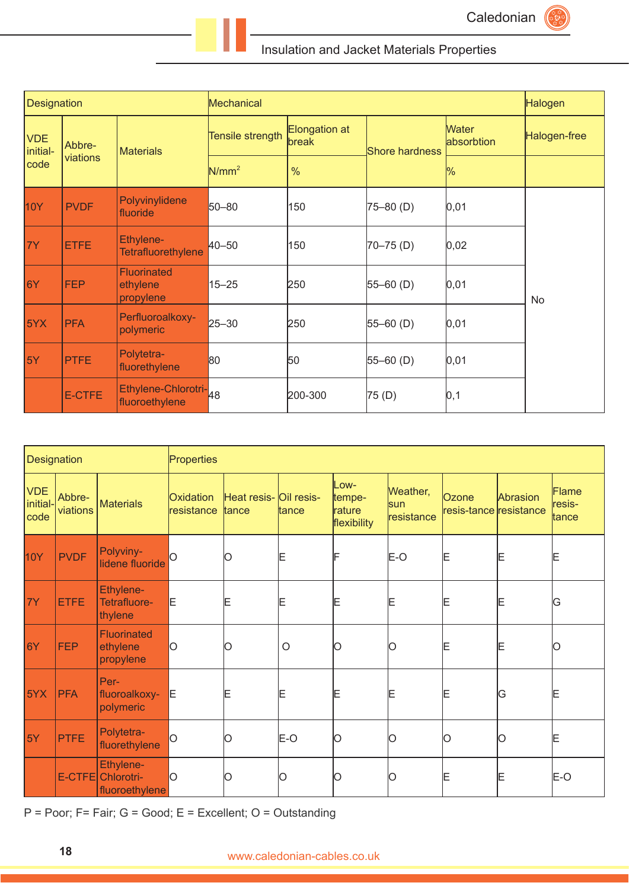

| Designation                    |                    |                                             | <b>Mechanical</b>       | Halogen                |                |                            |              |  |
|--------------------------------|--------------------|---------------------------------------------|-------------------------|------------------------|----------------|----------------------------|--------------|--|
| <b>VDE</b><br>initial-<br>code | Abbre-<br>viations | <b>Materials</b>                            | <b>Tensile strength</b> | Elongation at<br>break | Shore hardness | <b>Water</b><br>absorbtion | Halogen-free |  |
|                                |                    |                                             | $N/mm^2$                | $\frac{0}{0}$          |                | $\%$                       |              |  |
| 10Y                            | <b>PVDF</b>        | Polyvinylidene<br>fluoride                  | 50-80                   | 150                    | $75 - 80$ (D)  | 0,01                       |              |  |
| <b>7Y</b>                      | <b>ETFE</b>        | Ethylene-<br>Tetrafluorethylene             | 40-50                   | 150                    | $70 - 75$ (D)  | 0,02                       |              |  |
| 6Y                             | <b>FEP</b>         | <b>Fluorinated</b><br>ethylene<br>propylene | $15 - 25$               | 250                    | $55 - 60$ (D)  | 0,01                       | No           |  |
| <b>5YX</b>                     | <b>PFA</b>         | Perfluoroalkoxy-<br>polymeric               | $25 - 30$               | 250                    | $55 - 60$ (D)  | 0,01                       |              |  |
| 5Y                             | <b>PTFE</b>        | Polytetra-<br>fluorethylene                 | 80                      | 50                     | $55 - 60$ (D)  | 0,01                       |              |  |
|                                | E-CTFE             | Ethylene-Chlorotri-48<br>fluoroethylene     |                         | 200-300                | 75(D)          | 0, 1                       |              |  |

| Designation                    |                    |                                             | Properties              |                                 |         |                                         |                                      |                                 |          |                          |
|--------------------------------|--------------------|---------------------------------------------|-------------------------|---------------------------------|---------|-----------------------------------------|--------------------------------------|---------------------------------|----------|--------------------------|
| <b>VDE</b><br>initial-<br>code | Abbre-<br>viations | <b>Materials</b>                            | Oxidation<br>resistance | Heat resis- Oil resis-<br>tance | ltance  | Low-<br>tempe-<br>rature<br>flexibility | Weather,<br><b>sun</b><br>resistance | Ozone<br>resis-tance resistance | Abrasion | Flame<br>resis-<br>tance |
| 10Y                            | <b>PVDF</b>        | Polyviny-<br>lidene fluoride                |                         | O                               | E       | F                                       | E-O                                  | E                               | Ε        | Ε                        |
| 7Y                             | <b>ETFE</b>        | Ethylene-<br>Tetrafluore-<br>thylene        | Ε                       | Ε                               | Ε       | Ε                                       | Ε                                    | E                               | Ε        | ΙG                       |
| 6Y                             | <b>FEP</b>         | <b>Fluorinated</b><br>ethylene<br>propylene | O                       | lО                              | $\circ$ | 10                                      | IО                                   | Ε                               | Ε        | 10                       |
| 5YX                            | <b>PFA</b>         | Per-<br>fluoroalkoxy-<br>polymeric          | E                       | Ε                               | Ε       | Ε                                       | Ε                                    | Ε                               | ΙG       | Ε                        |
| 5Y                             | PTFE               | Polytetra-<br>fluorethylene                 | Ο                       | IО                              | E-O     | lО                                      | Ω                                    | Ю                               | lo       | Ε                        |
|                                | E-CTFE             | Ethylene-<br>Chlorotri-<br>fluoroethylene   | lО                      | Ю                               | Ω       |                                         |                                      | ΙE                              | Ε        | E-O                      |